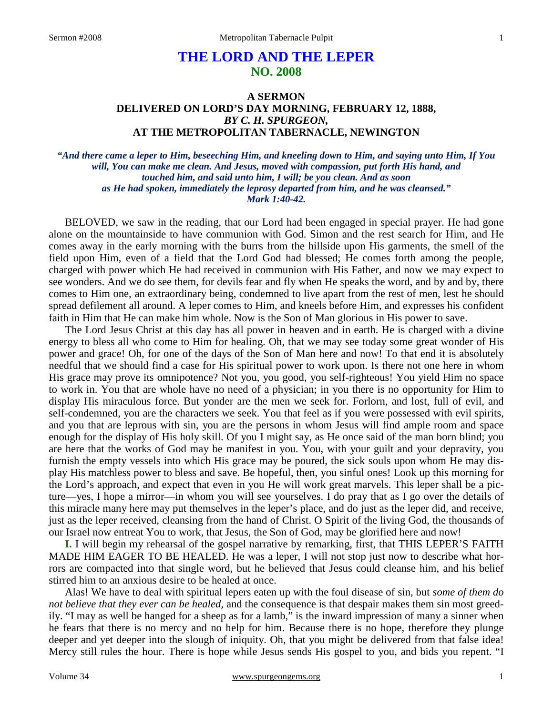# **THE LORD AND THE LEPER NO. 2008**

## **A SERMON DELIVERED ON LORD'S DAY MORNING, FEBRUARY 12, 1888,** *BY C. H. SPURGEON,*  **AT THE METROPOLITAN TABERNACLE, NEWINGTON**

*"And there came a leper to Him, beseeching Him, and kneeling down to Him, and saying unto Him, If You will, You can make me clean. And Jesus, moved with compassion, put forth His hand, and touched him, and said unto him, I will; be you clean. And as soon as He had spoken, immediately the leprosy departed from him, and he was cleansed." Mark 1:40-42.* 

BELOVED, we saw in the reading, that our Lord had been engaged in special prayer. He had gone alone on the mountainside to have communion with God. Simon and the rest search for Him, and He comes away in the early morning with the burrs from the hillside upon His garments, the smell of the field upon Him, even of a field that the Lord God had blessed; He comes forth among the people, charged with power which He had received in communion with His Father, and now we may expect to see wonders. And we do see them, for devils fear and fly when He speaks the word, and by and by, there comes to Him one, an extraordinary being, condemned to live apart from the rest of men, lest he should spread defilement all around. A leper comes to Him, and kneels before Him, and expresses his confident faith in Him that He can make him whole. Now is the Son of Man glorious in His power to save.

The Lord Jesus Christ at this day has all power in heaven and in earth. He is charged with a divine energy to bless all who come to Him for healing. Oh, that we may see today some great wonder of His power and grace! Oh, for one of the days of the Son of Man here and now! To that end it is absolutely needful that we should find a case for His spiritual power to work upon. Is there not one here in whom His grace may prove its omnipotence? Not you, you good, you self-righteous! You yield Him no space to work in. You that are whole have no need of a physician; in you there is no opportunity for Him to display His miraculous force. But yonder are the men we seek for. Forlorn, and lost, full of evil, and self-condemned, you are the characters we seek. You that feel as if you were possessed with evil spirits, and you that are leprous with sin, you are the persons in whom Jesus will find ample room and space enough for the display of His holy skill. Of you I might say, as He once said of the man born blind; you are here that the works of God may be manifest in you. You, with your guilt and your depravity, you furnish the empty vessels into which His grace may be poured, the sick souls upon whom He may display His matchless power to bless and save. Be hopeful, then, you sinful ones! Look up this morning for the Lord's approach, and expect that even in you He will work great marvels. This leper shall be a picture—yes, I hope a mirror—in whom you will see yourselves. I do pray that as I go over the details of this miracle many here may put themselves in the leper's place, and do just as the leper did, and receive, just as the leper received, cleansing from the hand of Christ. O Spirit of the living God, the thousands of our Israel now entreat You to work, that Jesus, the Son of God, may be glorified here and now!

**I.** I will begin my rehearsal of the gospel narrative by remarking, first, that THIS LEPER'S FAITH MADE HIM EAGER TO BE HEALED. He was a leper, I will not stop just now to describe what horrors are compacted into that single word, but he believed that Jesus could cleanse him, and his belief stirred him to an anxious desire to be healed at once.

Alas! We have to deal with spiritual lepers eaten up with the foul disease of sin, but *some of them do not believe that they ever can be healed,* and the consequence is that despair makes them sin most greedily. "I may as well be hanged for a sheep as for a lamb," is the inward impression of many a sinner when he fears that there is no mercy and no help for him. Because there is no hope, therefore they plunge deeper and yet deeper into the slough of iniquity. Oh, that you might be delivered from that false idea! Mercy still rules the hour. There is hope while Jesus sends His gospel to you, and bids you repent. "I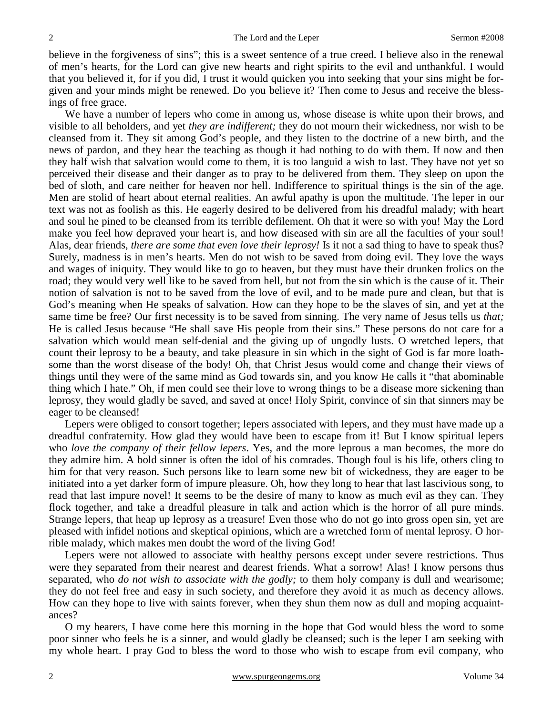believe in the forgiveness of sins"; this is a sweet sentence of a true creed. I believe also in the renewal of men's hearts, for the Lord can give new hearts and right spirits to the evil and unthankful. I would that you believed it, for if you did, I trust it would quicken you into seeking that your sins might be forgiven and your minds might be renewed. Do you believe it? Then come to Jesus and receive the blessings of free grace.

We have a number of lepers who come in among us, whose disease is white upon their brows, and visible to all beholders, and yet *they are indifferent;* they do not mourn their wickedness, nor wish to be cleansed from it. They sit among God's people, and they listen to the doctrine of a new birth, and the news of pardon, and they hear the teaching as though it had nothing to do with them. If now and then they half wish that salvation would come to them, it is too languid a wish to last. They have not yet so perceived their disease and their danger as to pray to be delivered from them. They sleep on upon the bed of sloth, and care neither for heaven nor hell. Indifference to spiritual things is the sin of the age. Men are stolid of heart about eternal realities. An awful apathy is upon the multitude. The leper in our text was not as foolish as this. He eagerly desired to be delivered from his dreadful malady; with heart and soul he pined to be cleansed from its terrible defilement. Oh that it were so with you! May the Lord make you feel how depraved your heart is, and how diseased with sin are all the faculties of your soul! Alas, dear friends, *there are some that even love their leprosy!* Is it not a sad thing to have to speak thus? Surely, madness is in men's hearts. Men do not wish to be saved from doing evil. They love the ways and wages of iniquity. They would like to go to heaven, but they must have their drunken frolics on the road; they would very well like to be saved from hell, but not from the sin which is the cause of it. Their notion of salvation is not to be saved from the love of evil, and to be made pure and clean, but that is God's meaning when He speaks of salvation. How can they hope to be the slaves of sin, and yet at the same time be free? Our first necessity is to be saved from sinning. The very name of Jesus tells us *that;* He is called Jesus because "He shall save His people from their sins." These persons do not care for a salvation which would mean self-denial and the giving up of ungodly lusts. O wretched lepers, that count their leprosy to be a beauty, and take pleasure in sin which in the sight of God is far more loathsome than the worst disease of the body! Oh, that Christ Jesus would come and change their views of things until they were of the same mind as God towards sin, and you know He calls it "that abominable thing which I hate." Oh, if men could see their love to wrong things to be a disease more sickening than leprosy, they would gladly be saved, and saved at once! Holy Spirit, convince of sin that sinners may be eager to be cleansed!

Lepers were obliged to consort together; lepers associated with lepers, and they must have made up a dreadful confraternity. How glad they would have been to escape from it! But I know spiritual lepers who *love the company of their fellow lepers*. Yes, and the more leprous a man becomes, the more do they admire him. A bold sinner is often the idol of his comrades. Though foul is his life, others cling to him for that very reason. Such persons like to learn some new bit of wickedness, they are eager to be initiated into a yet darker form of impure pleasure. Oh, how they long to hear that last lascivious song, to read that last impure novel! It seems to be the desire of many to know as much evil as they can. They flock together, and take a dreadful pleasure in talk and action which is the horror of all pure minds. Strange lepers, that heap up leprosy as a treasure! Even those who do not go into gross open sin, yet are pleased with infidel notions and skeptical opinions, which are a wretched form of mental leprosy. O horrible malady, which makes men doubt the word of the living God!

Lepers were not allowed to associate with healthy persons except under severe restrictions. Thus were they separated from their nearest and dearest friends. What a sorrow! Alas! I know persons thus separated, who *do not wish to associate with the godly;* to them holy company is dull and wearisome; they do not feel free and easy in such society, and therefore they avoid it as much as decency allows. How can they hope to live with saints forever, when they shun them now as dull and moping acquaintances?

O my hearers, I have come here this morning in the hope that God would bless the word to some poor sinner who feels he is a sinner, and would gladly be cleansed; such is the leper I am seeking with my whole heart. I pray God to bless the word to those who wish to escape from evil company, who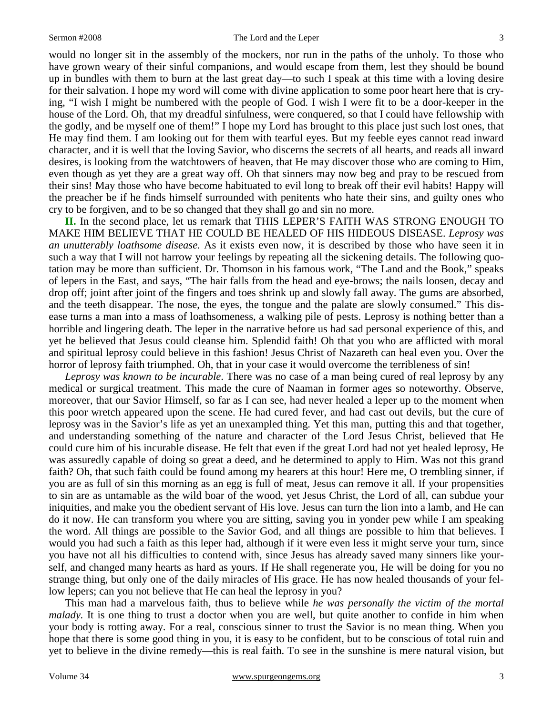would no longer sit in the assembly of the mockers, nor run in the paths of the unholy. To those who have grown weary of their sinful companions, and would escape from them, lest they should be bound up in bundles with them to burn at the last great day—to such I speak at this time with a loving desire for their salvation. I hope my word will come with divine application to some poor heart here that is crying, "I wish I might be numbered with the people of God. I wish I were fit to be a door-keeper in the house of the Lord. Oh, that my dreadful sinfulness, were conquered, so that I could have fellowship with the godly, and be myself one of them!" I hope my Lord has brought to this place just such lost ones, that He may find them. I am looking out for them with tearful eyes. But my feeble eyes cannot read inward character, and it is well that the loving Savior, who discerns the secrets of all hearts, and reads all inward desires, is looking from the watchtowers of heaven, that He may discover those who are coming to Him, even though as yet they are a great way off. Oh that sinners may now beg and pray to be rescued from their sins! May those who have become habituated to evil long to break off their evil habits! Happy will the preacher be if he finds himself surrounded with penitents who hate their sins, and guilty ones who cry to be forgiven, and to be so changed that they shall go and sin no more.

**II.** In the second place, let us remark that THIS LEPER'S FAITH WAS STRONG ENOUGH TO MAKE HIM BELIEVE THAT HE COULD BE HEALED OF HIS HIDEOUS DISEASE. *Leprosy was an unutterably loathsome disease.* As it exists even now, it is described by those who have seen it in such a way that I will not harrow your feelings by repeating all the sickening details. The following quotation may be more than sufficient. Dr. Thomson in his famous work, "The Land and the Book," speaks of lepers in the East, and says, "The hair falls from the head and eye-brows; the nails loosen, decay and drop off; joint after joint of the fingers and toes shrink up and slowly fall away. The gums are absorbed, and the teeth disappear. The nose, the eyes, the tongue and the palate are slowly consumed." This disease turns a man into a mass of loathsomeness, a walking pile of pests. Leprosy is nothing better than a horrible and lingering death. The leper in the narrative before us had sad personal experience of this, and yet he believed that Jesus could cleanse him. Splendid faith! Oh that you who are afflicted with moral and spiritual leprosy could believe in this fashion! Jesus Christ of Nazareth can heal even you. Over the horror of leprosy faith triumphed. Oh, that in your case it would overcome the terribleness of sin!

*Leprosy was known to be incurable*. There was no case of a man being cured of real leprosy by any medical or surgical treatment. This made the cure of Naaman in former ages so noteworthy. Observe, moreover, that our Savior Himself, so far as I can see, had never healed a leper up to the moment when this poor wretch appeared upon the scene. He had cured fever, and had cast out devils, but the cure of leprosy was in the Savior's life as yet an unexampled thing. Yet this man, putting this and that together, and understanding something of the nature and character of the Lord Jesus Christ, believed that He could cure him of his incurable disease. He felt that even if the great Lord had not yet healed leprosy, He was assuredly capable of doing so great a deed, and he determined to apply to Him. Was not this grand faith? Oh, that such faith could be found among my hearers at this hour! Here me, O trembling sinner, if you are as full of sin this morning as an egg is full of meat, Jesus can remove it all. If your propensities to sin are as untamable as the wild boar of the wood, yet Jesus Christ, the Lord of all, can subdue your iniquities, and make you the obedient servant of His love. Jesus can turn the lion into a lamb, and He can do it now. He can transform you where you are sitting, saving you in yonder pew while I am speaking the word. All things are possible to the Savior God, and all things are possible to him that believes. I would you had such a faith as this leper had, although if it were even less it might serve your turn, since you have not all his difficulties to contend with, since Jesus has already saved many sinners like yourself, and changed many hearts as hard as yours. If He shall regenerate you, He will be doing for you no strange thing, but only one of the daily miracles of His grace. He has now healed thousands of your fellow lepers; can you not believe that He can heal the leprosy in you?

This man had a marvelous faith, thus to believe while *he was personally the victim of the mortal malady.* It is one thing to trust a doctor when you are well, but quite another to confide in him when your body is rotting away. For a real, conscious sinner to trust the Savior is no mean thing. When you hope that there is some good thing in you, it is easy to be confident, but to be conscious of total ruin and yet to believe in the divine remedy—this is real faith. To see in the sunshine is mere natural vision, but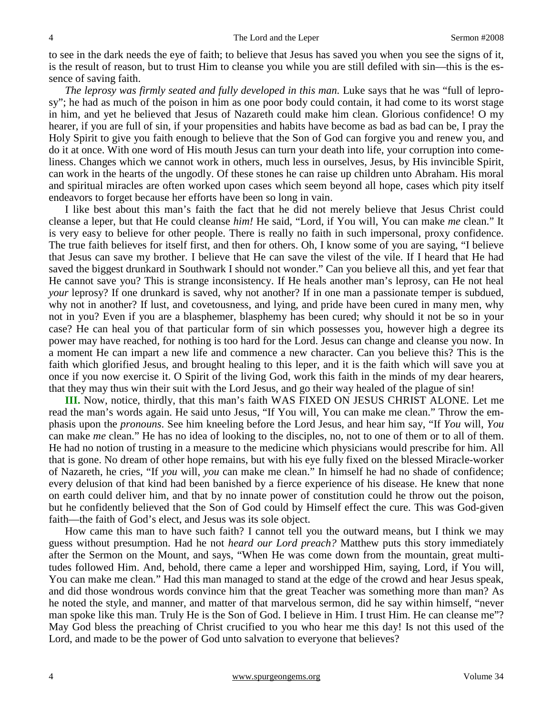to see in the dark needs the eye of faith; to believe that Jesus has saved you when you see the signs of it, is the result of reason, but to trust Him to cleanse you while you are still defiled with sin—this is the essence of saving faith.

*The leprosy was firmly seated and fully developed in this man.* Luke says that he was "full of leprosy"; he had as much of the poison in him as one poor body could contain, it had come to its worst stage in him, and yet he believed that Jesus of Nazareth could make him clean. Glorious confidence! O my hearer, if you are full of sin, if your propensities and habits have become as bad as bad can be, I pray the Holy Spirit to give you faith enough to believe that the Son of God can forgive you and renew you, and do it at once. With one word of His mouth Jesus can turn your death into life, your corruption into comeliness. Changes which we cannot work in others, much less in ourselves, Jesus, by His invincible Spirit, can work in the hearts of the ungodly. Of these stones he can raise up children unto Abraham. His moral and spiritual miracles are often worked upon cases which seem beyond all hope, cases which pity itself endeavors to forget because her efforts have been so long in vain.

I like best about this man's faith the fact that he did not merely believe that Jesus Christ could cleanse a leper, but that He could cleanse *him!* He said, "Lord, if You will, You can make *me* clean." It is very easy to believe for other people. There is really no faith in such impersonal, proxy confidence. The true faith believes for itself first, and then for others. Oh, I know some of you are saying, "I believe that Jesus can save my brother. I believe that He can save the vilest of the vile. If I heard that He had saved the biggest drunkard in Southwark I should not wonder." Can you believe all this, and yet fear that He cannot save you? This is strange inconsistency. If He heals another man's leprosy, can He not heal *your* leprosy? If one drunkard is saved, why not another? If in one man a passionate temper is subdued, why not in another? If lust, and covetousness, and lying, and pride have been cured in many men, why not in you? Even if you are a blasphemer, blasphemy has been cured; why should it not be so in your case? He can heal you of that particular form of sin which possesses you, however high a degree its power may have reached, for nothing is too hard for the Lord. Jesus can change and cleanse you now. In a moment He can impart a new life and commence a new character. Can you believe this? This is the faith which glorified Jesus, and brought healing to this leper, and it is the faith which will save you at once if you now exercise it. O Spirit of the living God, work this faith in the minds of my dear hearers, that they may thus win their suit with the Lord Jesus, and go their way healed of the plague of sin!

**III.** Now, notice, thirdly, that this man's faith WAS FIXED ON JESUS CHRIST ALONE. Let me read the man's words again. He said unto Jesus, "If You will, You can make me clean." Throw the emphasis upon the *pronouns*. See him kneeling before the Lord Jesus, and hear him say, "If *You* will, *You* can make *me* clean." He has no idea of looking to the disciples, no, not to one of them or to all of them. He had no notion of trusting in a measure to the medicine which physicians would prescribe for him. All that is gone. No dream of other hope remains, but with his eye fully fixed on the blessed Miracle-worker of Nazareth, he cries, "If *you* will, *you* can make me clean." In himself he had no shade of confidence; every delusion of that kind had been banished by a fierce experience of his disease. He knew that none on earth could deliver him, and that by no innate power of constitution could he throw out the poison, but he confidently believed that the Son of God could by Himself effect the cure. This was God-given faith—the faith of God's elect, and Jesus was its sole object.

How came this man to have such faith? I cannot tell you the outward means, but I think we may guess without presumption. Had he not *heard our Lord preach?* Matthew puts this story immediately after the Sermon on the Mount, and says, "When He was come down from the mountain, great multitudes followed Him. And, behold, there came a leper and worshipped Him, saying, Lord, if You will, You can make me clean." Had this man managed to stand at the edge of the crowd and hear Jesus speak, and did those wondrous words convince him that the great Teacher was something more than man? As he noted the style, and manner, and matter of that marvelous sermon, did he say within himself, "never man spoke like this man. Truly He is the Son of God. I believe in Him. I trust Him. He can cleanse me"? May God bless the preaching of Christ crucified to you who hear me this day! Is not this used of the Lord, and made to be the power of God unto salvation to everyone that believes?

4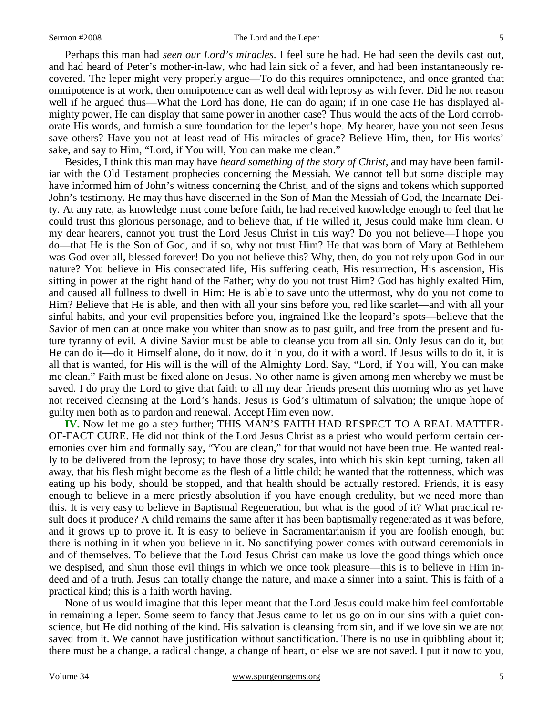Perhaps this man had *seen our Lord's miracles*. I feel sure he had. He had seen the devils cast out, and had heard of Peter's mother-in-law, who had lain sick of a fever, and had been instantaneously recovered. The leper might very properly argue—To do this requires omnipotence, and once granted that omnipotence is at work, then omnipotence can as well deal with leprosy as with fever. Did he not reason well if he argued thus—What the Lord has done, He can do again; if in one case He has displayed almighty power, He can display that same power in another case? Thus would the acts of the Lord corroborate His words, and furnish a sure foundation for the leper's hope. My hearer, have you not seen Jesus save others? Have you not at least read of His miracles of grace? Believe Him, then, for His works' sake, and say to Him, "Lord, if You will, You can make me clean."

Besides, I think this man may have *heard something of the story of Christ,* and may have been familiar with the Old Testament prophecies concerning the Messiah. We cannot tell but some disciple may have informed him of John's witness concerning the Christ, and of the signs and tokens which supported John's testimony. He may thus have discerned in the Son of Man the Messiah of God, the Incarnate Deity. At any rate, as knowledge must come before faith, he had received knowledge enough to feel that he could trust this glorious personage, and to believe that, if He willed it, Jesus could make him clean. O my dear hearers, cannot you trust the Lord Jesus Christ in this way? Do you not believe—I hope you do—that He is the Son of God, and if so, why not trust Him? He that was born of Mary at Bethlehem was God over all, blessed forever! Do you not believe this? Why, then, do you not rely upon God in our nature? You believe in His consecrated life, His suffering death, His resurrection, His ascension, His sitting in power at the right hand of the Father; why do you not trust Him? God has highly exalted Him, and caused all fullness to dwell in Him: He is able to save unto the uttermost, why do you not come to Him? Believe that He is able, and then with all your sins before you, red like scarlet—and with all your sinful habits, and your evil propensities before you, ingrained like the leopard's spots—believe that the Savior of men can at once make you whiter than snow as to past guilt, and free from the present and future tyranny of evil. A divine Savior must be able to cleanse you from all sin. Only Jesus can do it, but He can do it—do it Himself alone, do it now, do it in you, do it with a word. If Jesus wills to do it, it is all that is wanted, for His will is the will of the Almighty Lord. Say, "Lord, if You will, You can make me clean." Faith must be fixed alone on Jesus. No other name is given among men whereby we must be saved. I do pray the Lord to give that faith to all my dear friends present this morning who as yet have not received cleansing at the Lord's hands. Jesus is God's ultimatum of salvation; the unique hope of guilty men both as to pardon and renewal. Accept Him even now.

**IV.** Now let me go a step further; THIS MAN'S FAITH HAD RESPECT TO A REAL MATTER-OF-FACT CURE. He did not think of the Lord Jesus Christ as a priest who would perform certain ceremonies over him and formally say, "You are clean," for that would not have been true. He wanted really to be delivered from the leprosy; to have those dry scales, into which his skin kept turning, taken all away, that his flesh might become as the flesh of a little child; he wanted that the rottenness, which was eating up his body, should be stopped, and that health should be actually restored. Friends, it is easy enough to believe in a mere priestly absolution if you have enough credulity, but we need more than this. It is very easy to believe in Baptismal Regeneration, but what is the good of it? What practical result does it produce? A child remains the same after it has been baptismally regenerated as it was before, and it grows up to prove it. It is easy to believe in Sacramentarianism if you are foolish enough, but there is nothing in it when you believe in it. No sanctifying power comes with outward ceremonials in and of themselves. To believe that the Lord Jesus Christ can make us love the good things which once we despised, and shun those evil things in which we once took pleasure—this is to believe in Him indeed and of a truth. Jesus can totally change the nature, and make a sinner into a saint. This is faith of a practical kind; this is a faith worth having.

None of us would imagine that this leper meant that the Lord Jesus could make him feel comfortable in remaining a leper. Some seem to fancy that Jesus came to let us go on in our sins with a quiet conscience, but He did nothing of the kind. His salvation is cleansing from sin, and if we love sin we are not saved from it. We cannot have justification without sanctification. There is no use in quibbling about it; there must be a change, a radical change, a change of heart, or else we are not saved. I put it now to you,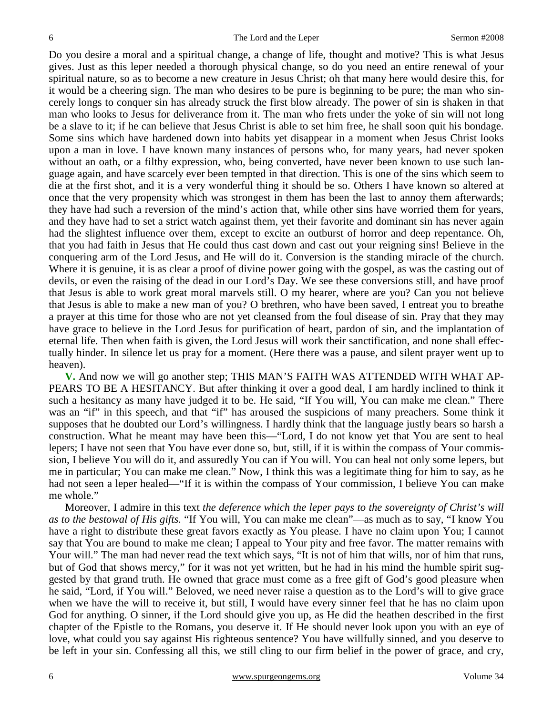Do you desire a moral and a spiritual change, a change of life, thought and motive? This is what Jesus gives. Just as this leper needed a thorough physical change, so do you need an entire renewal of your spiritual nature, so as to become a new creature in Jesus Christ; oh that many here would desire this, for it would be a cheering sign. The man who desires to be pure is beginning to be pure; the man who sincerely longs to conquer sin has already struck the first blow already. The power of sin is shaken in that man who looks to Jesus for deliverance from it. The man who frets under the yoke of sin will not long be a slave to it; if he can believe that Jesus Christ is able to set him free, he shall soon quit his bondage. Some sins which have hardened down into habits yet disappear in a moment when Jesus Christ looks upon a man in love. I have known many instances of persons who, for many years, had never spoken without an oath, or a filthy expression, who, being converted, have never been known to use such language again, and have scarcely ever been tempted in that direction. This is one of the sins which seem to die at the first shot, and it is a very wonderful thing it should be so. Others I have known so altered at once that the very propensity which was strongest in them has been the last to annoy them afterwards; they have had such a reversion of the mind's action that, while other sins have worried them for years, and they have had to set a strict watch against them, yet their favorite and dominant sin has never again had the slightest influence over them, except to excite an outburst of horror and deep repentance. Oh, that you had faith in Jesus that He could thus cast down and cast out your reigning sins! Believe in the conquering arm of the Lord Jesus, and He will do it. Conversion is the standing miracle of the church. Where it is genuine, it is as clear a proof of divine power going with the gospel, as was the casting out of devils, or even the raising of the dead in our Lord's Day. We see these conversions still, and have proof that Jesus is able to work great moral marvels still. O my hearer, where are you? Can you not believe that Jesus is able to make a new man of you? O brethren, who have been saved, I entreat you to breathe a prayer at this time for those who are not yet cleansed from the foul disease of sin. Pray that they may have grace to believe in the Lord Jesus for purification of heart, pardon of sin, and the implantation of eternal life. Then when faith is given, the Lord Jesus will work their sanctification, and none shall effectually hinder. In silence let us pray for a moment. (Here there was a pause, and silent prayer went up to heaven).

**V.** And now we will go another step; THIS MAN'S FAITH WAS ATTENDED WITH WHAT AP-PEARS TO BE A HESITANCY. But after thinking it over a good deal, I am hardly inclined to think it such a hesitancy as many have judged it to be. He said, "If You will, You can make me clean." There was an "if" in this speech, and that "if" has aroused the suspicions of many preachers. Some think it supposes that he doubted our Lord's willingness. I hardly think that the language justly bears so harsh a construction. What he meant may have been this—"Lord, I do not know yet that You are sent to heal lepers; I have not seen that You have ever done so, but, still, if it is within the compass of Your commission, I believe You will do it, and assuredly You can if You will. You can heal not only some lepers, but me in particular; You can make me clean." Now, I think this was a legitimate thing for him to say, as he had not seen a leper healed—"If it is within the compass of Your commission, I believe You can make me whole."

Moreover, I admire in this text *the deference which the leper pays to the sovereignty of Christ's will as to the bestowal of His gifts.* "If You will, You can make me clean"—as much as to say, "I know You have a right to distribute these great favors exactly as You please. I have no claim upon You; I cannot say that You are bound to make me clean; I appeal to Your pity and free favor. The matter remains with Your will." The man had never read the text which says, "It is not of him that wills, nor of him that runs, but of God that shows mercy," for it was not yet written, but he had in his mind the humble spirit suggested by that grand truth. He owned that grace must come as a free gift of God's good pleasure when he said, "Lord, if You will." Beloved, we need never raise a question as to the Lord's will to give grace when we have the will to receive it, but still, I would have every sinner feel that he has no claim upon God for anything. O sinner, if the Lord should give you up, as He did the heathen described in the first chapter of the Epistle to the Romans, you deserve it. If He should never look upon you with an eye of love, what could you say against His righteous sentence? You have willfully sinned, and you deserve to be left in your sin. Confessing all this, we still cling to our firm belief in the power of grace, and cry,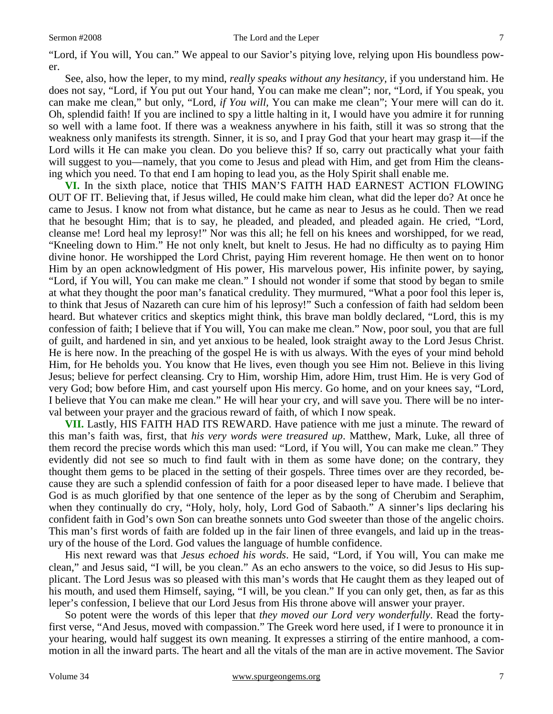"Lord, if You will, You can." We appeal to our Savior's pitying love, relying upon His boundless power.

See, also, how the leper, to my mind, *really speaks without any hesitancy,* if you understand him. He does not say, "Lord, if You put out Your hand, You can make me clean"; nor, "Lord, if You speak, you can make me clean," but only, "Lord, *if You will,* You can make me clean"; Your mere will can do it. Oh, splendid faith! If you are inclined to spy a little halting in it, I would have you admire it for running so well with a lame foot. If there was a weakness anywhere in his faith, still it was so strong that the weakness only manifests its strength. Sinner, it is so, and I pray God that your heart may grasp it—if the Lord wills it He can make you clean. Do you believe this? If so, carry out practically what your faith will suggest to you—namely, that you come to Jesus and plead with Him, and get from Him the cleansing which you need. To that end I am hoping to lead you, as the Holy Spirit shall enable me.

**VI.** In the sixth place, notice that THIS MAN'S FAITH HAD EARNEST ACTION FLOWING OUT OF IT. Believing that, if Jesus willed, He could make him clean, what did the leper do? At once he came to Jesus. I know not from what distance, but he came as near to Jesus as he could. Then we read that he besought Him; that is to say, he pleaded, and pleaded, and pleaded again. He cried, "Lord, cleanse me! Lord heal my leprosy!" Nor was this all; he fell on his knees and worshipped, for we read, "Kneeling down to Him." He not only knelt, but knelt to Jesus. He had no difficulty as to paying Him divine honor. He worshipped the Lord Christ, paying Him reverent homage. He then went on to honor Him by an open acknowledgment of His power, His marvelous power, His infinite power, by saying, "Lord, if You will, You can make me clean." I should not wonder if some that stood by began to smile at what they thought the poor man's fanatical credulity. They murmured, "What a poor fool this leper is, to think that Jesus of Nazareth can cure him of his leprosy!" Such a confession of faith had seldom been heard. But whatever critics and skeptics might think, this brave man boldly declared, "Lord, this is my confession of faith; I believe that if You will, You can make me clean." Now, poor soul, you that are full of guilt, and hardened in sin, and yet anxious to be healed, look straight away to the Lord Jesus Christ. He is here now. In the preaching of the gospel He is with us always. With the eyes of your mind behold Him, for He beholds you. You know that He lives, even though you see Him not. Believe in this living Jesus; believe for perfect cleansing. Cry to Him, worship Him, adore Him, trust Him. He is very God of very God; bow before Him, and cast yourself upon His mercy. Go home, and on your knees say, "Lord, I believe that You can make me clean." He will hear your cry, and will save you. There will be no interval between your prayer and the gracious reward of faith, of which I now speak.

**VII.** Lastly, HIS FAITH HAD ITS REWARD. Have patience with me just a minute. The reward of this man's faith was, first, that *his very words were treasured up*. Matthew, Mark, Luke, all three of them record the precise words which this man used: "Lord, if You will, You can make me clean." They evidently did not see so much to find fault with in them as some have done; on the contrary, they thought them gems to be placed in the setting of their gospels. Three times over are they recorded, because they are such a splendid confession of faith for a poor diseased leper to have made. I believe that God is as much glorified by that one sentence of the leper as by the song of Cherubim and Seraphim, when they continually do cry, "Holy, holy, holy, Lord God of Sabaoth." A sinner's lips declaring his confident faith in God's own Son can breathe sonnets unto God sweeter than those of the angelic choirs. This man's first words of faith are folded up in the fair linen of three evangels, and laid up in the treasury of the house of the Lord. God values the language of humble confidence.

His next reward was that *Jesus echoed his words*. He said, "Lord, if You will, You can make me clean," and Jesus said, "I will, be you clean." As an echo answers to the voice, so did Jesus to His supplicant. The Lord Jesus was so pleased with this man's words that He caught them as they leaped out of his mouth, and used them Himself, saying, "I will, be you clean." If you can only get, then, as far as this leper's confession, I believe that our Lord Jesus from His throne above will answer your prayer.

So potent were the words of this leper that *they moved our Lord very wonderfully*. Read the fortyfirst verse, "And Jesus, moved with compassion." The Greek word here used, if I were to pronounce it in your hearing, would half suggest its own meaning. It expresses a stirring of the entire manhood, a commotion in all the inward parts. The heart and all the vitals of the man are in active movement. The Savior